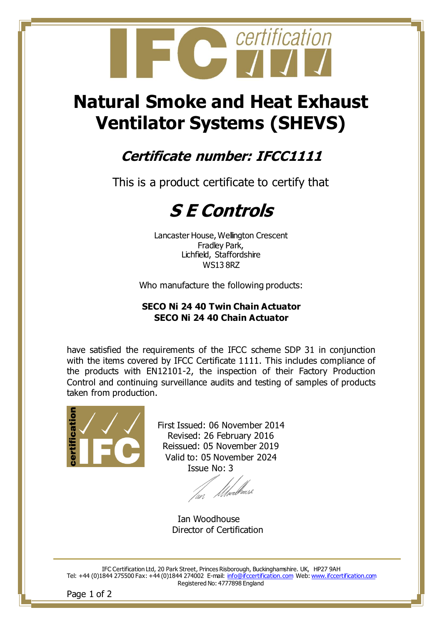

# **Natural Smoke and Heat Exhaust Ventilator Systems (SHEVS)**

### **Certificate number: IFCC1111**

This is a product certificate to certify that

## **S E Controls**

Lancaster House, Wellington Crescent Fradley Park, Lichfield, Staffordshire WS13 8RZ

Who manufacture the following products:

#### **SECO Ni 24 40 Twin Chain Actuator SECO Ni 24 40 Chain Actuator**

have satisfied the requirements of the IFCC scheme SDP 31 in conjunction with the items covered by IFCC Certificate 1111. This includes compliance of the products with EN12101-2, the inspection of their Factory Production Control and continuing surveillance audits and testing of samples of products taken from production.



First Issued: 06 November 2014 Revised: 26 February 2016 Reissued: 05 November 2019 Valid to: 05 November 2024 Issue No: 3

fan Moed<sup>fr</sup>ouse

 Ian Woodhouse Director of Certification

IFC Certification Ltd, 20 Park Street, Princes Risborough, Buckinghamshire. UK, HP27 9AH Tel: +44 (0)1844 275500 Fax: +44 (0)1844 274002 E-mail: [info@ifccertification.com](mailto:info@ifccertification.com) Web[: www.ifccertification.com](http://www.ifccertification.com/) Registered No: 4777898 England

Page 1 of 2